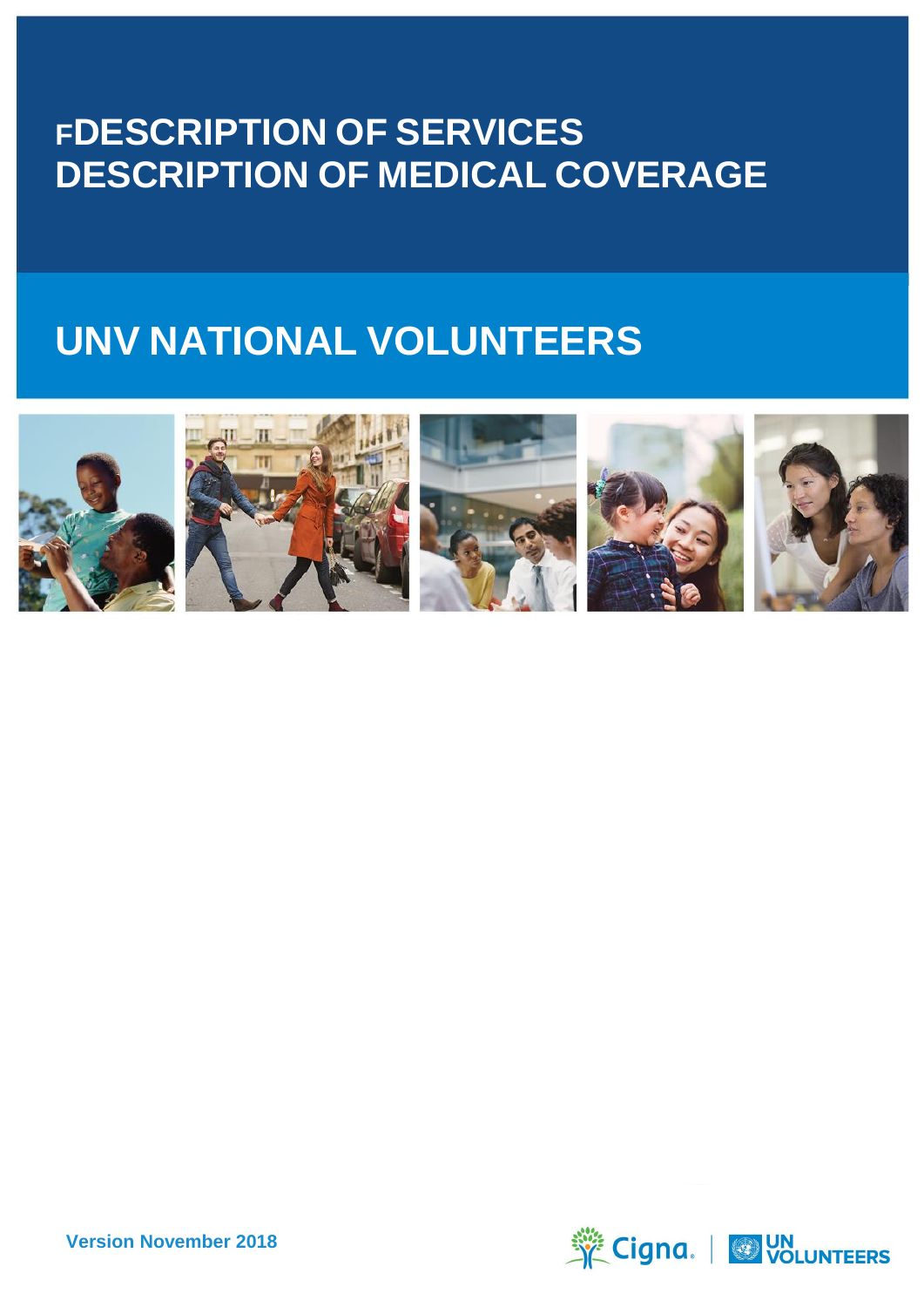# **FDESCRIPTION OF SERVICES DESCRIPTION OF MEDICAL COVERAGE**

# **UNV NATIONAL VOLUNTEERS**











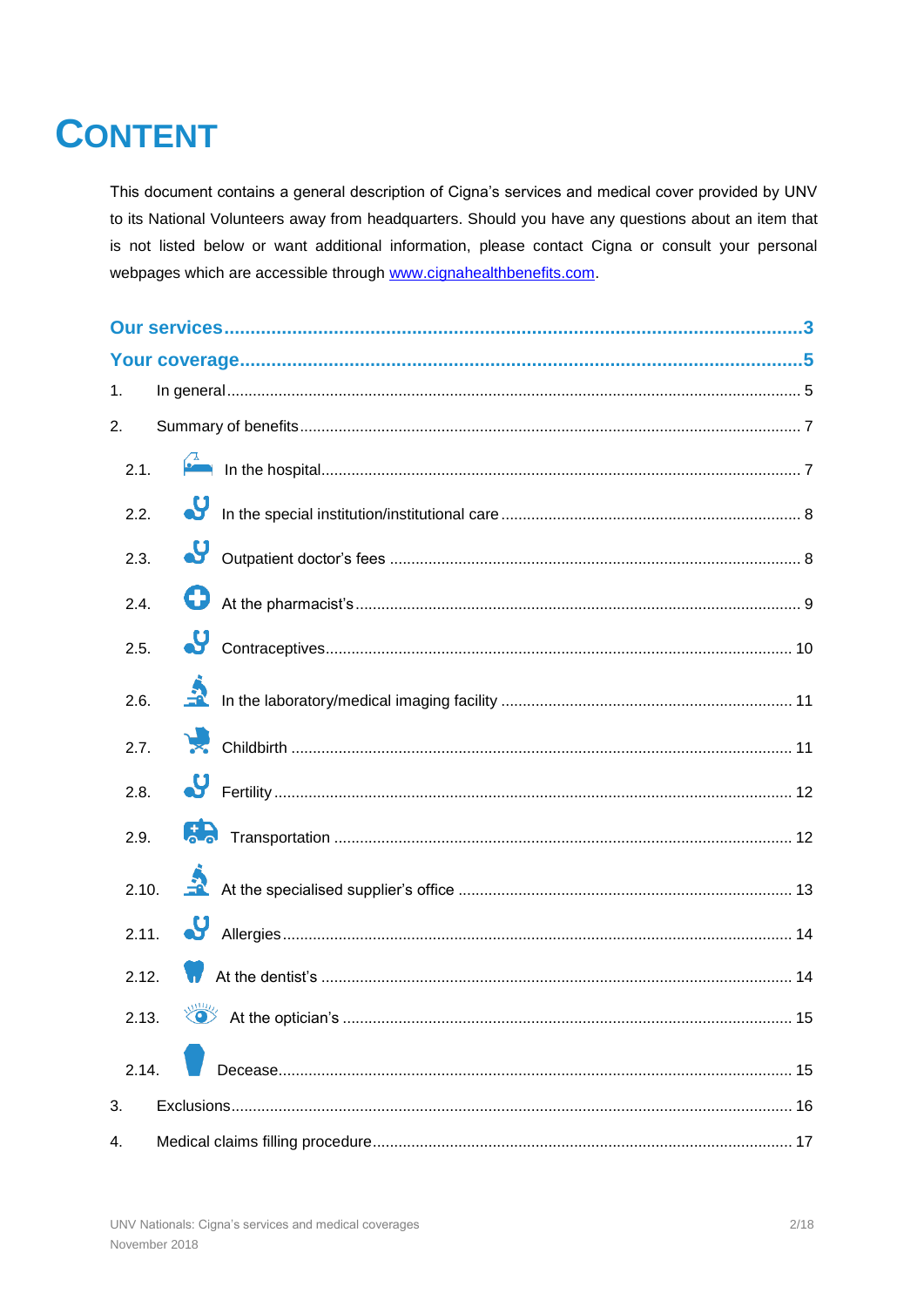# **CONTENT**

This document contains a general description of Cigna's services and medical cover provided by UNV to its National Volunteers away from headquarters. Should you have any questions about an item that is not listed below or want additional information, please contact Cigna or consult your personal webpages which are accessible through www.cignahealthbenefits.com.

| 1.    |  |
|-------|--|
| 2.    |  |
| 2.1.  |  |
| 2.2.  |  |
| 2.3.  |  |
| 2.4.  |  |
| 2.5.  |  |
| 2.6.  |  |
| 2.7.  |  |
| 2.8.  |  |
| 2.9.  |  |
|       |  |
|       |  |
| 2.12. |  |
|       |  |
| 2.14. |  |
| 3.    |  |
| 4.    |  |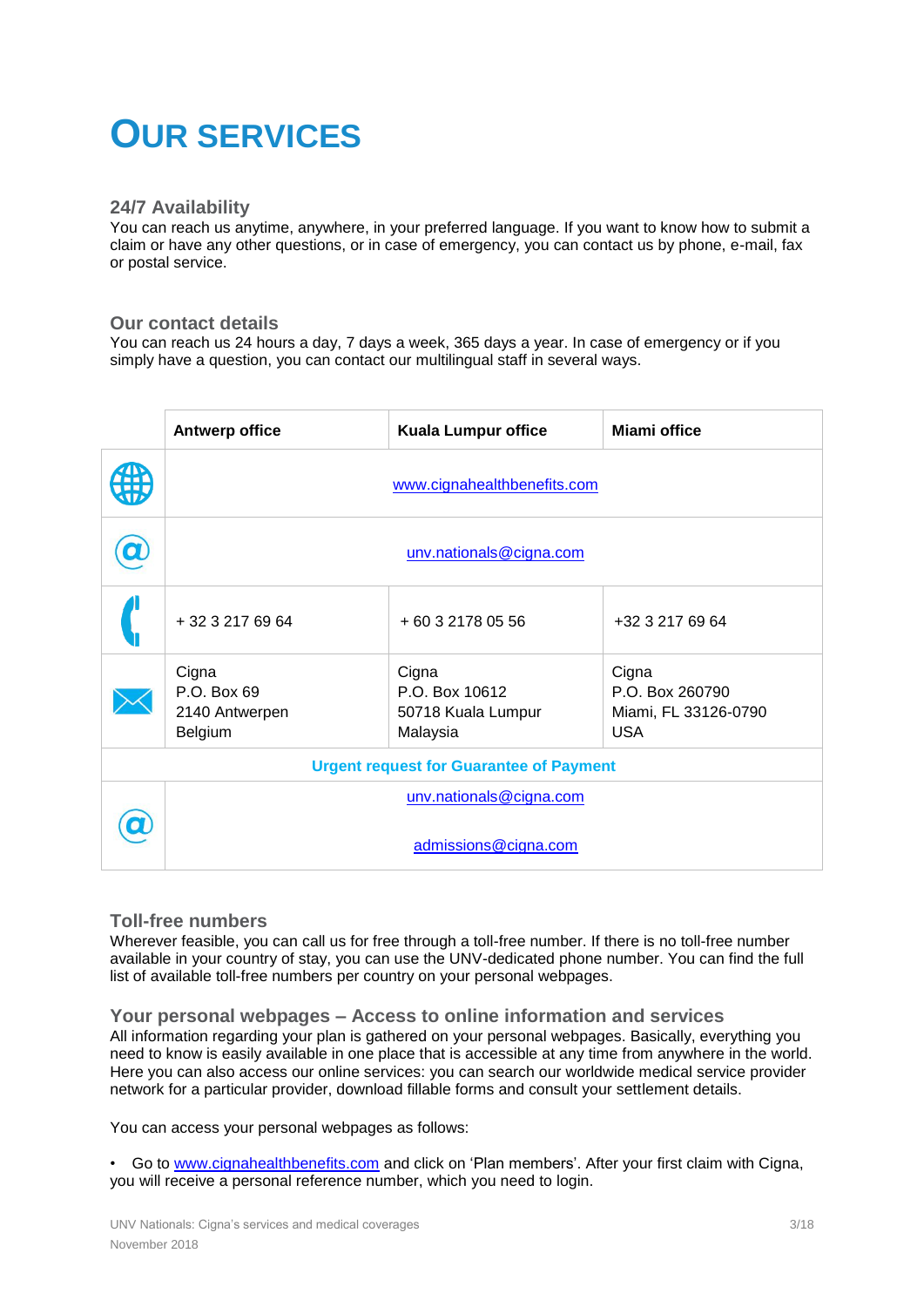# **OUR SERVICES**

### **24/7 Availability**

You can reach us anytime, anywhere, in your preferred language. If you want to know how to submit a claim or have any other questions, or in case of emergency, you can contact us by phone, e-mail, fax or postal service.

### **Our contact details**

You can reach us 24 hours a day, 7 days a week, 365 days a year. In case of emergency or if you simply have a question, you can contact our multilingual staff in several ways.

|                                                | <b>Antwerp office</b>                             | <b>Kuala Lumpur office</b>                                | <b>Miami office</b>                                            |
|------------------------------------------------|---------------------------------------------------|-----------------------------------------------------------|----------------------------------------------------------------|
|                                                | www.cignahealthbenefits.com                       |                                                           |                                                                |
|                                                | unv.nationals@cigna.com                           |                                                           |                                                                |
|                                                | + 32 3 217 69 64                                  | +60 3 2178 05 56                                          | +32 3 217 69 64                                                |
|                                                | Cigna<br>P.O. Box 69<br>2140 Antwerpen<br>Belgium | Cigna<br>P.O. Box 10612<br>50718 Kuala Lumpur<br>Malaysia | Cigna<br>P.O. Box 260790<br>Miami, FL 33126-0790<br><b>USA</b> |
| <b>Urgent request for Guarantee of Payment</b> |                                                   |                                                           |                                                                |
|                                                | unv.nationals@cigna.com                           |                                                           |                                                                |
|                                                | admissions@cigna.com                              |                                                           |                                                                |

### **Toll-free numbers**

Wherever feasible, you can call us for free through a toll-free number. If there is no toll-free number available in your country of stay, you can use the UNV-dedicated phone number. You can find the full list of available toll-free numbers per country on your personal webpages.

### **Your personal webpages – Access to online information and services**

All information regarding your plan is gathered on your personal webpages. Basically, everything you need to know is easily available in one place that is accessible at any time from anywhere in the world. Here you can also access our online services: you can search our worldwide medical service provider network for a particular provider, download fillable forms and consult your settlement details.

You can access your personal webpages as follows:

• Go to [www.cignahealthbenefits.com](http://www.cignahealthbenefits.com/) and click on 'Plan members'. After your first claim with Cigna, you will receive a personal reference number, which you need to login.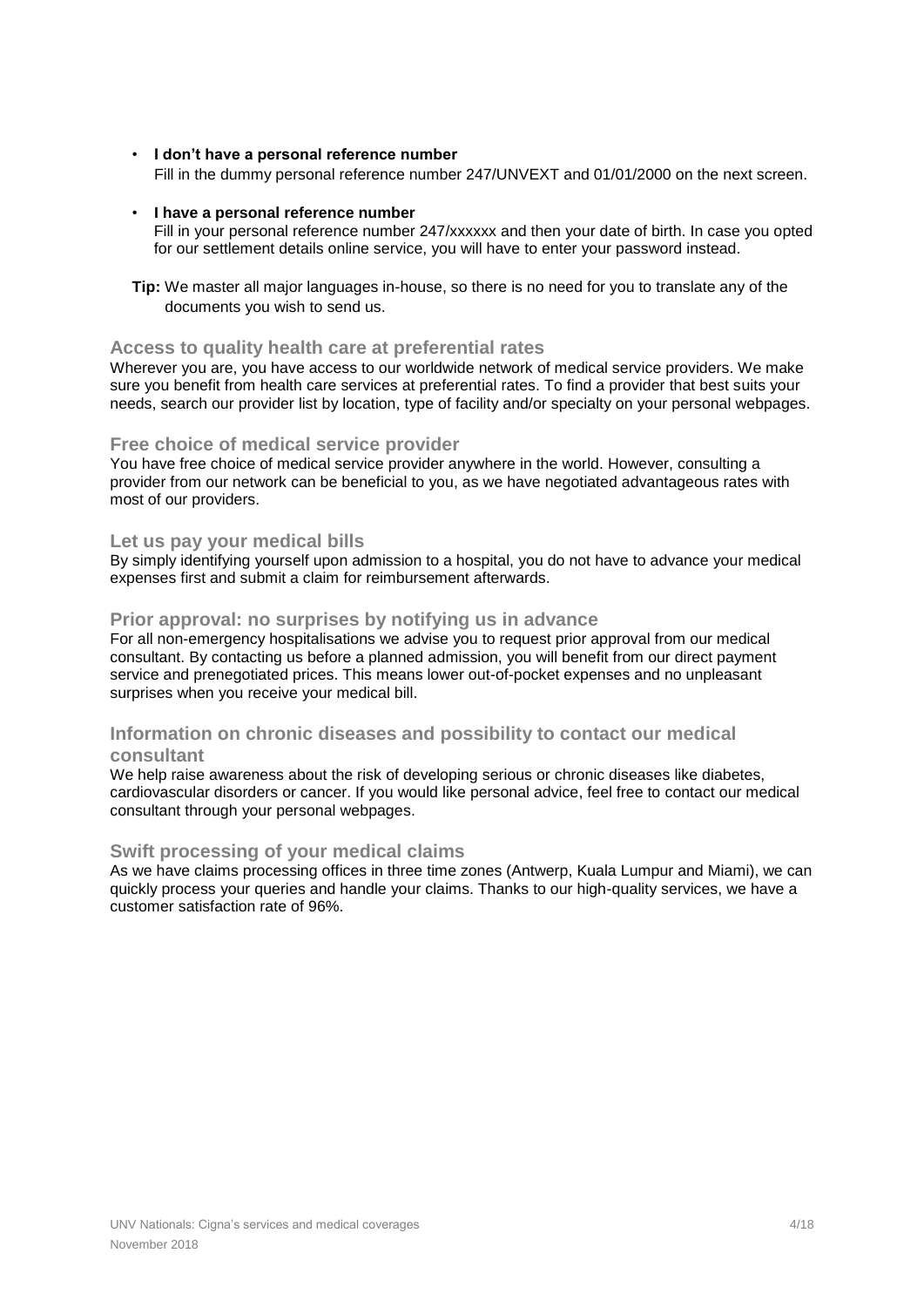### • **I don't have a personal reference number**

Fill in the dummy personal reference number 247/UNVEXT and 01/01/2000 on the next screen.

#### • **I have a personal reference number**

Fill in your personal reference number 247/xxxxxx and then your date of birth. In case you opted for our settlement details online service, you will have to enter your password instead.

**Tip:** We master all major languages in-house, so there is no need for you to translate any of the documents you wish to send us.

### **Access to quality health care at preferential rates**

Wherever you are, you have access to our worldwide network of medical service providers. We make sure you benefit from health care services at preferential rates. To find a provider that best suits your needs, search our provider list by location, type of facility and/or specialty on your personal webpages.

### **Free choice of medical service provider**

You have free choice of medical service provider anywhere in the world. However, consulting a provider from our network can be beneficial to you, as we have negotiated advantageous rates with most of our providers.

### **Let us pay your medical bills**

By simply identifying yourself upon admission to a hospital, you do not have to advance your medical expenses first and submit a claim for reimbursement afterwards.

### **Prior approval: no surprises by notifying us in advance**

For all non-emergency hospitalisations we advise you to request prior approval from our medical consultant. By contacting us before a planned admission, you will benefit from our direct payment service and prenegotiated prices. This means lower out-of-pocket expenses and no unpleasant surprises when you receive your medical bill.

### **Information on chronic diseases and possibility to contact our medical consultant**

We help raise awareness about the risk of developing serious or chronic diseases like diabetes, cardiovascular disorders or cancer. If you would like personal advice, feel free to contact our medical consultant through your personal webpages.

#### **Swift processing of your medical claims**

As we have claims processing offices in three time zones (Antwerp, Kuala Lumpur and Miami), we can quickly process your queries and handle your claims. Thanks to our high-quality services, we have a customer satisfaction rate of 96%.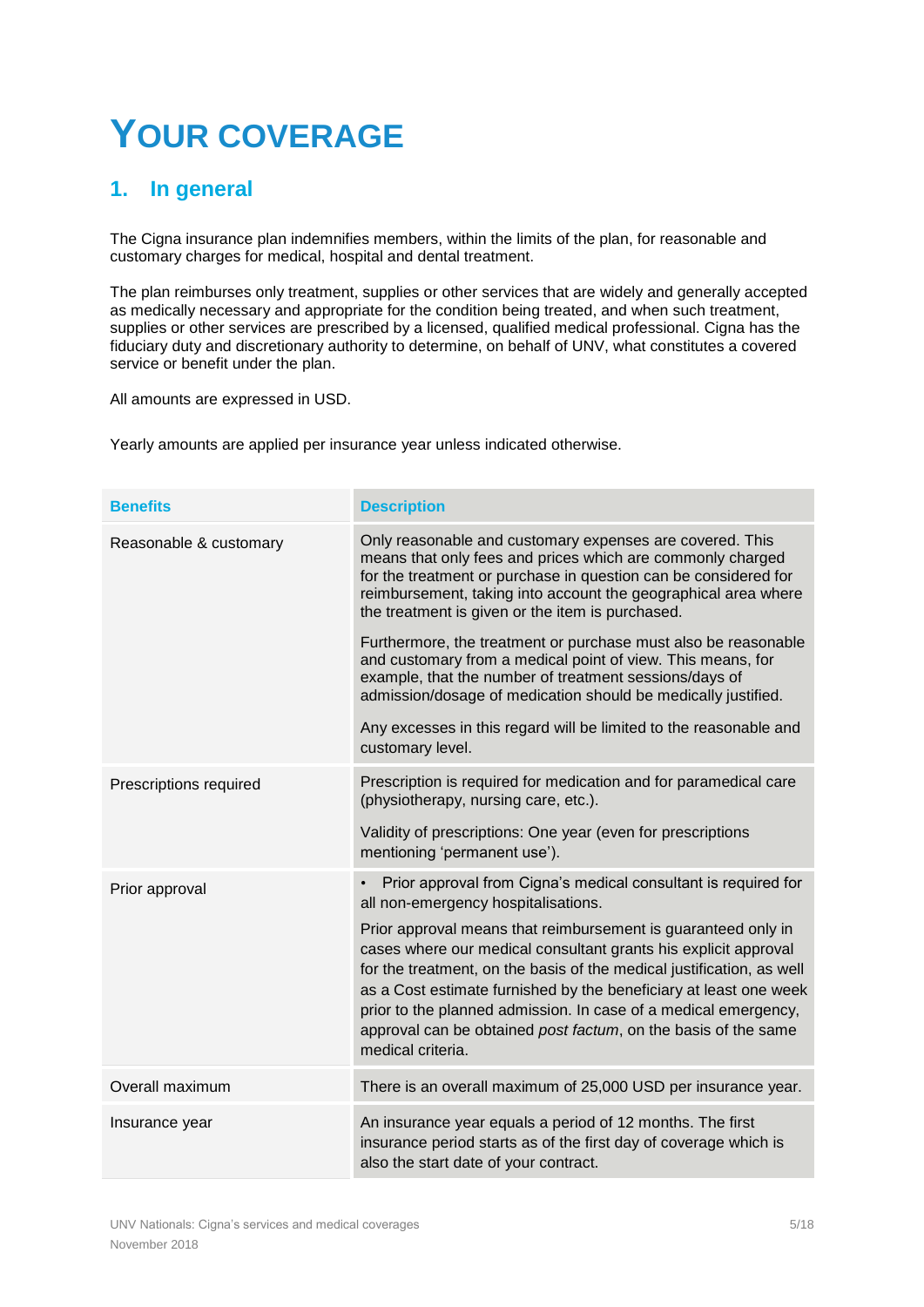# **YOUR COVERAGE**

# <span id="page-4-0"></span>**1. In general**

The Cigna insurance plan indemnifies members, within the limits of the plan, for reasonable and customary charges for medical, hospital and dental treatment.

The plan reimburses only treatment, supplies or other services that are widely and generally accepted as medically necessary and appropriate for the condition being treated, and when such treatment, supplies or other services are prescribed by a licensed, qualified medical professional. Cigna has the fiduciary duty and discretionary authority to determine, on behalf of UNV, what constitutes a covered service or benefit under the plan.

All amounts are expressed in USD.

Yearly amounts are applied per insurance year unless indicated otherwise.

| <b>Benefits</b>        | <b>Description</b>                                                                                                                                                                                                                                                                                                                                                                                                                       |
|------------------------|------------------------------------------------------------------------------------------------------------------------------------------------------------------------------------------------------------------------------------------------------------------------------------------------------------------------------------------------------------------------------------------------------------------------------------------|
| Reasonable & customary | Only reasonable and customary expenses are covered. This<br>means that only fees and prices which are commonly charged<br>for the treatment or purchase in question can be considered for<br>reimbursement, taking into account the geographical area where<br>the treatment is given or the item is purchased.                                                                                                                          |
|                        | Furthermore, the treatment or purchase must also be reasonable<br>and customary from a medical point of view. This means, for<br>example, that the number of treatment sessions/days of<br>admission/dosage of medication should be medically justified.                                                                                                                                                                                 |
|                        | Any excesses in this regard will be limited to the reasonable and<br>customary level.                                                                                                                                                                                                                                                                                                                                                    |
| Prescriptions required | Prescription is required for medication and for paramedical care<br>(physiotherapy, nursing care, etc.).                                                                                                                                                                                                                                                                                                                                 |
|                        | Validity of prescriptions: One year (even for prescriptions<br>mentioning 'permanent use').                                                                                                                                                                                                                                                                                                                                              |
| Prior approval         | Prior approval from Cigna's medical consultant is required for<br>$\bullet$<br>all non-emergency hospitalisations.                                                                                                                                                                                                                                                                                                                       |
|                        | Prior approval means that reimbursement is guaranteed only in<br>cases where our medical consultant grants his explicit approval<br>for the treatment, on the basis of the medical justification, as well<br>as a Cost estimate furnished by the beneficiary at least one week<br>prior to the planned admission. In case of a medical emergency,<br>approval can be obtained post factum, on the basis of the same<br>medical criteria. |
| Overall maximum        | There is an overall maximum of 25,000 USD per insurance year.                                                                                                                                                                                                                                                                                                                                                                            |
| Insurance year         | An insurance year equals a period of 12 months. The first<br>insurance period starts as of the first day of coverage which is<br>also the start date of your contract.                                                                                                                                                                                                                                                                   |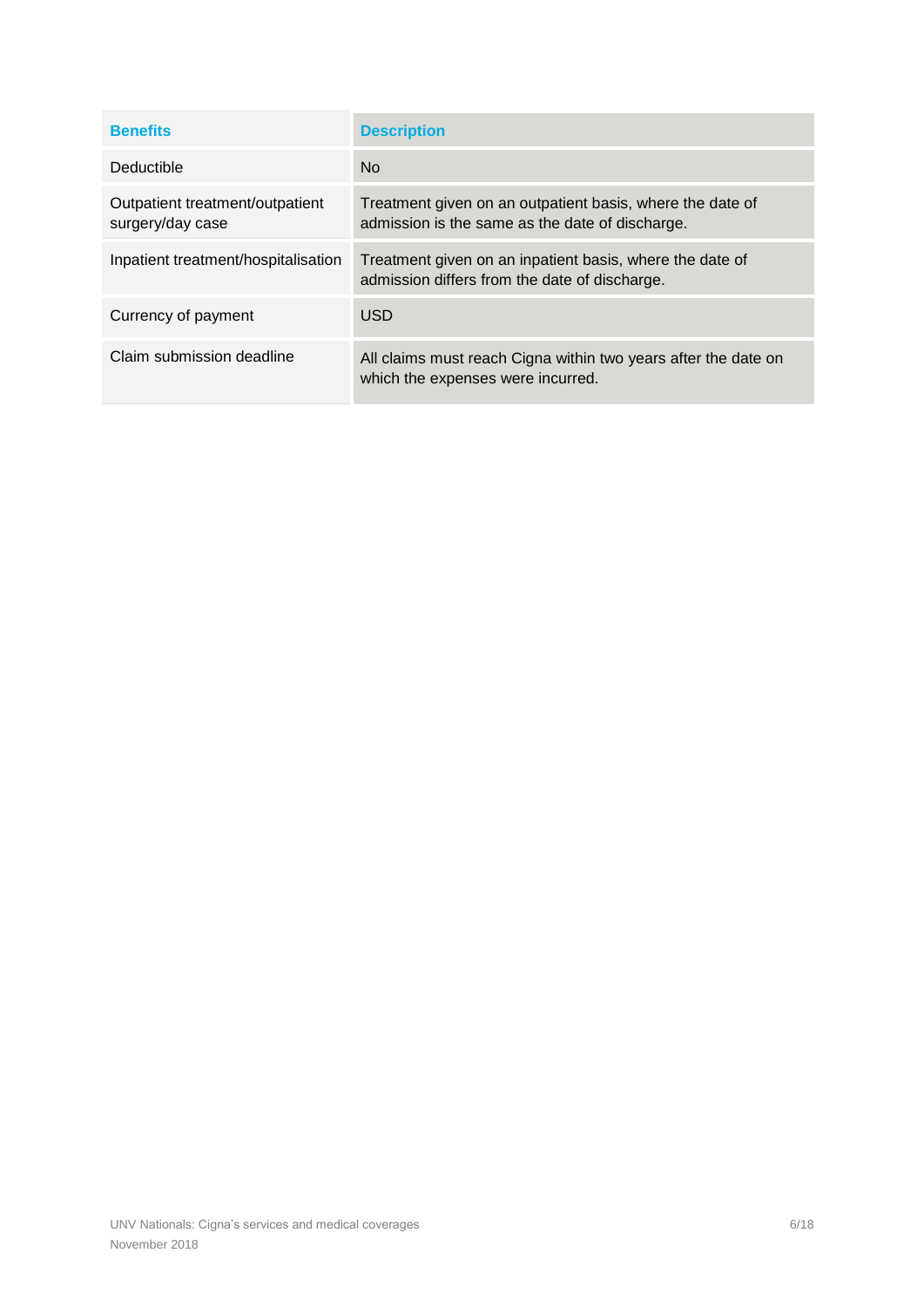<span id="page-5-0"></span>

| <b>Benefits</b>                                     | <b>Description</b>                                                                                           |
|-----------------------------------------------------|--------------------------------------------------------------------------------------------------------------|
| Deductible                                          | N <sub>o</sub>                                                                                               |
| Outpatient treatment/outpatient<br>surgery/day case | Treatment given on an outpatient basis, where the date of<br>admission is the same as the date of discharge. |
| Inpatient treatment/hospitalisation                 | Treatment given on an inpatient basis, where the date of<br>admission differs from the date of discharge.    |
| Currency of payment                                 | <b>USD</b>                                                                                                   |
| Claim submission deadline                           | All claims must reach Cigna within two years after the date on<br>which the expenses were incurred.          |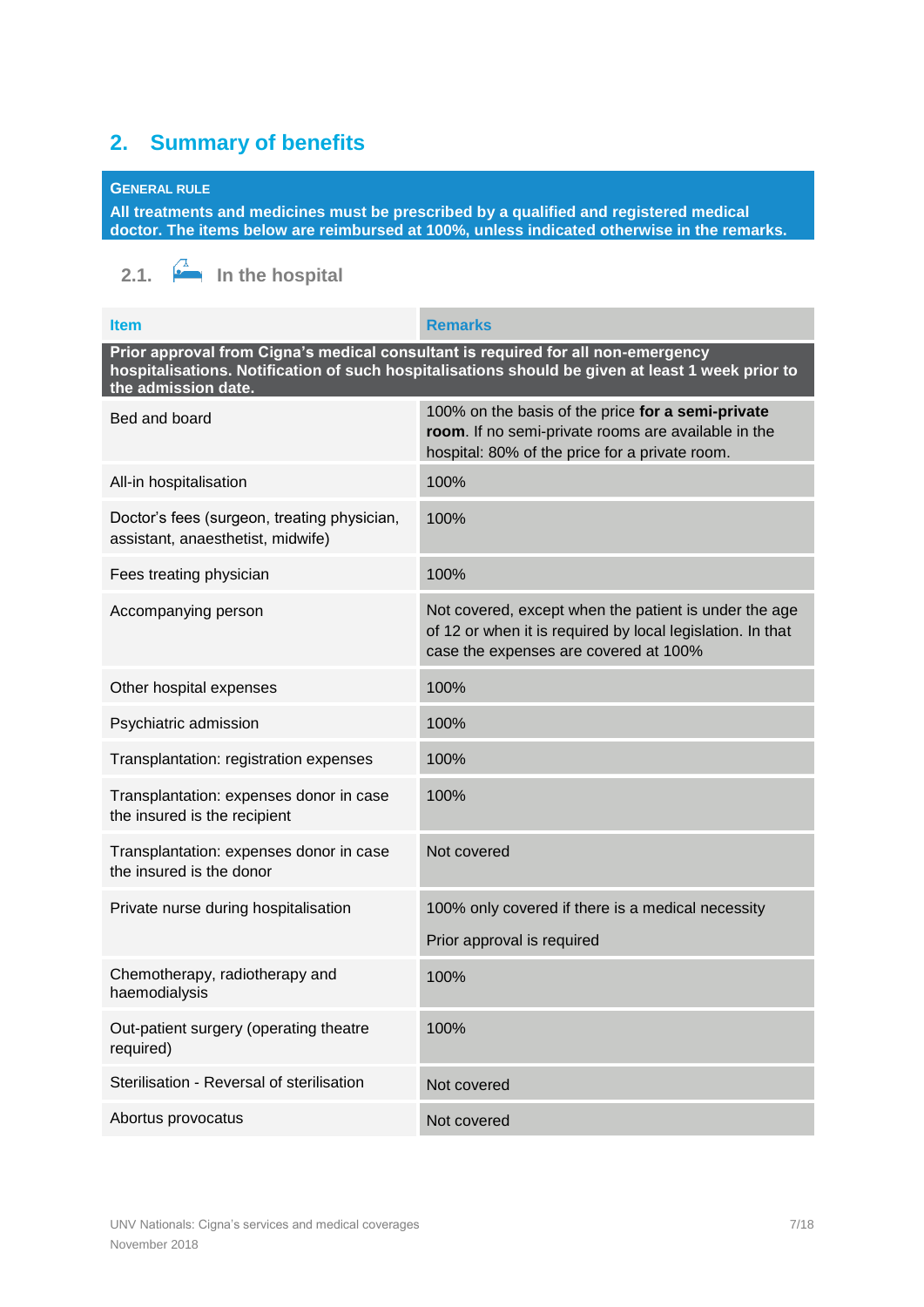# <span id="page-6-0"></span>**2. [Summary of benefits](#page-5-0)**

## **GENERAL RULE**

**All treatments and medicines must be prescribed by a qualified and registered medical doctor. The items below are reimbursed at 100%, unless indicated otherwise in the remarks.**

<span id="page-6-1"></span>**2.1.**  $\overrightarrow{A}$  In the hospital

| <b>Item</b>                                                                                                                                                                                                 | <b>Remarks</b>                                                                                                                                               |  |
|-------------------------------------------------------------------------------------------------------------------------------------------------------------------------------------------------------------|--------------------------------------------------------------------------------------------------------------------------------------------------------------|--|
| Prior approval from Cigna's medical consultant is required for all non-emergency<br>hospitalisations. Notification of such hospitalisations should be given at least 1 week prior to<br>the admission date. |                                                                                                                                                              |  |
| Bed and board                                                                                                                                                                                               | 100% on the basis of the price for a semi-private<br>room. If no semi-private rooms are available in the<br>hospital: 80% of the price for a private room.   |  |
| All-in hospitalisation                                                                                                                                                                                      | 100%                                                                                                                                                         |  |
| Doctor's fees (surgeon, treating physician,<br>assistant, anaesthetist, midwife)                                                                                                                            | 100%                                                                                                                                                         |  |
| Fees treating physician                                                                                                                                                                                     | 100%                                                                                                                                                         |  |
| Accompanying person                                                                                                                                                                                         | Not covered, except when the patient is under the age<br>of 12 or when it is required by local legislation. In that<br>case the expenses are covered at 100% |  |
| Other hospital expenses                                                                                                                                                                                     | 100%                                                                                                                                                         |  |
| Psychiatric admission                                                                                                                                                                                       | 100%                                                                                                                                                         |  |
| Transplantation: registration expenses                                                                                                                                                                      | 100%                                                                                                                                                         |  |
| Transplantation: expenses donor in case<br>the insured is the recipient                                                                                                                                     | 100%                                                                                                                                                         |  |
| Transplantation: expenses donor in case<br>the insured is the donor                                                                                                                                         | Not covered                                                                                                                                                  |  |
| Private nurse during hospitalisation                                                                                                                                                                        | 100% only covered if there is a medical necessity                                                                                                            |  |
|                                                                                                                                                                                                             | Prior approval is required                                                                                                                                   |  |
| Chemotherapy, radiotherapy and<br>haemodialysis                                                                                                                                                             | 100%                                                                                                                                                         |  |
| Out-patient surgery (operating theatre<br>required)                                                                                                                                                         | 100%                                                                                                                                                         |  |
| Sterilisation - Reversal of sterilisation                                                                                                                                                                   | Not covered                                                                                                                                                  |  |
| Abortus provocatus                                                                                                                                                                                          | Not covered                                                                                                                                                  |  |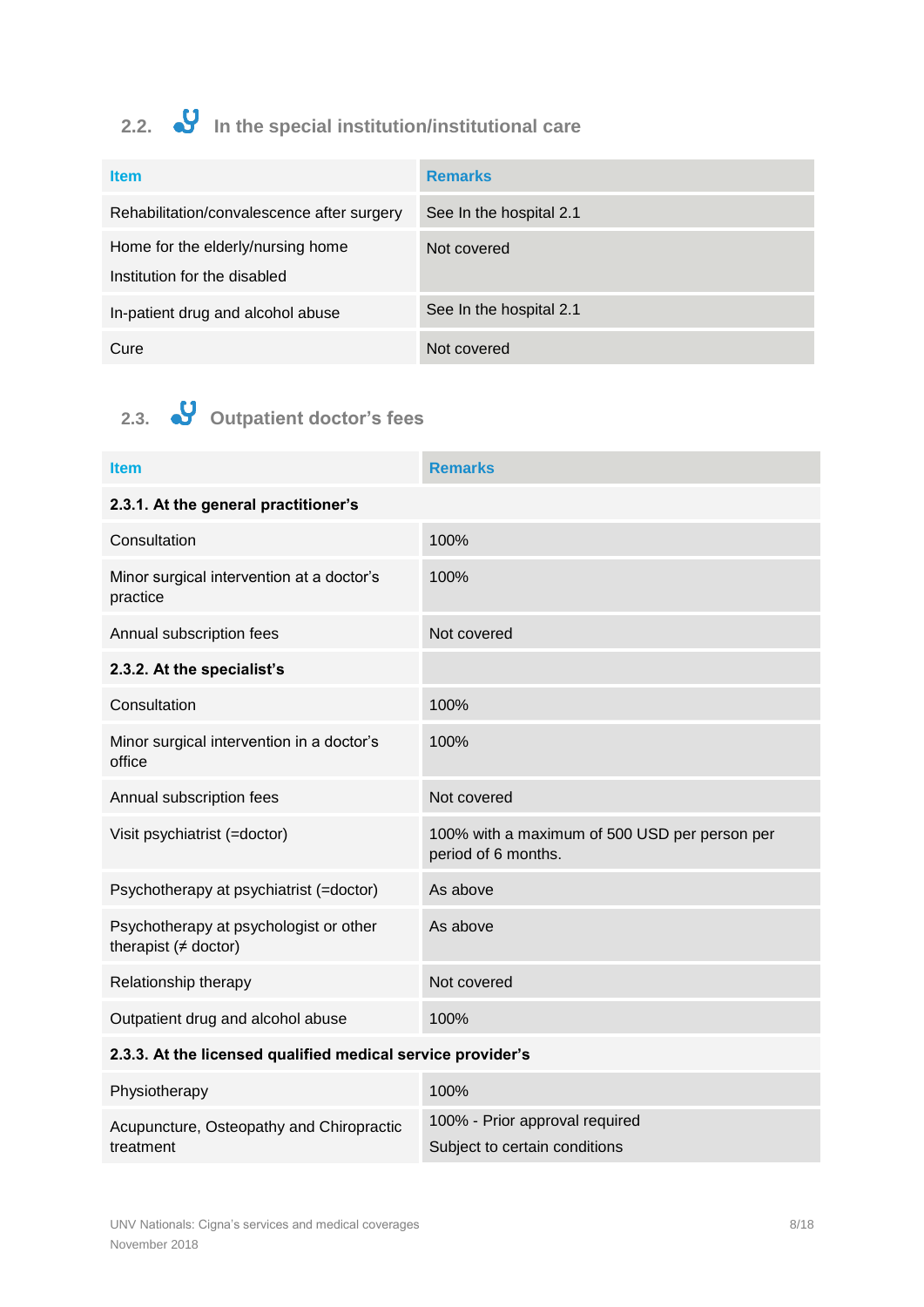# <span id="page-7-0"></span>2.2. • **V** In the special institution/institutional care

| <b>Item</b>                                | <b>Remarks</b>          |
|--------------------------------------------|-------------------------|
| Rehabilitation/convalescence after surgery | See In the hospital 2.1 |
| Home for the elderly/nursing home          | Not covered             |
| Institution for the disabled               |                         |
| In-patient drug and alcohol abuse          | See In the hospital 2.1 |
| Cure                                       | Not covered             |

# <span id="page-7-1"></span>**2.3. Outpatient doctor's fees**

| <b>Item</b>                                                            | <b>Remarks</b>                                                       |  |
|------------------------------------------------------------------------|----------------------------------------------------------------------|--|
| 2.3.1. At the general practitioner's                                   |                                                                      |  |
| Consultation                                                           | 100%                                                                 |  |
| Minor surgical intervention at a doctor's<br>practice                  | 100%                                                                 |  |
| Annual subscription fees                                               | Not covered                                                          |  |
| 2.3.2. At the specialist's                                             |                                                                      |  |
| Consultation                                                           | 100%                                                                 |  |
| Minor surgical intervention in a doctor's<br>office                    | 100%                                                                 |  |
| Annual subscription fees                                               | Not covered                                                          |  |
| Visit psychiatrist (=doctor)                                           | 100% with a maximum of 500 USD per person per<br>period of 6 months. |  |
| Psychotherapy at psychiatrist (=doctor)                                | As above                                                             |  |
| Psychotherapy at psychologist or other<br>therapist $($ $\neq$ doctor) | As above                                                             |  |
| Relationship therapy                                                   | Not covered                                                          |  |
| Outpatient drug and alcohol abuse                                      | 100%                                                                 |  |
| 2.3.3. At the licensed qualified medical service provider's            |                                                                      |  |
| Physiotherapy                                                          | 100%                                                                 |  |
| Acupuncture, Osteopathy and Chiropractic                               | 100% - Prior approval required                                       |  |

Subject to certain conditions

treatment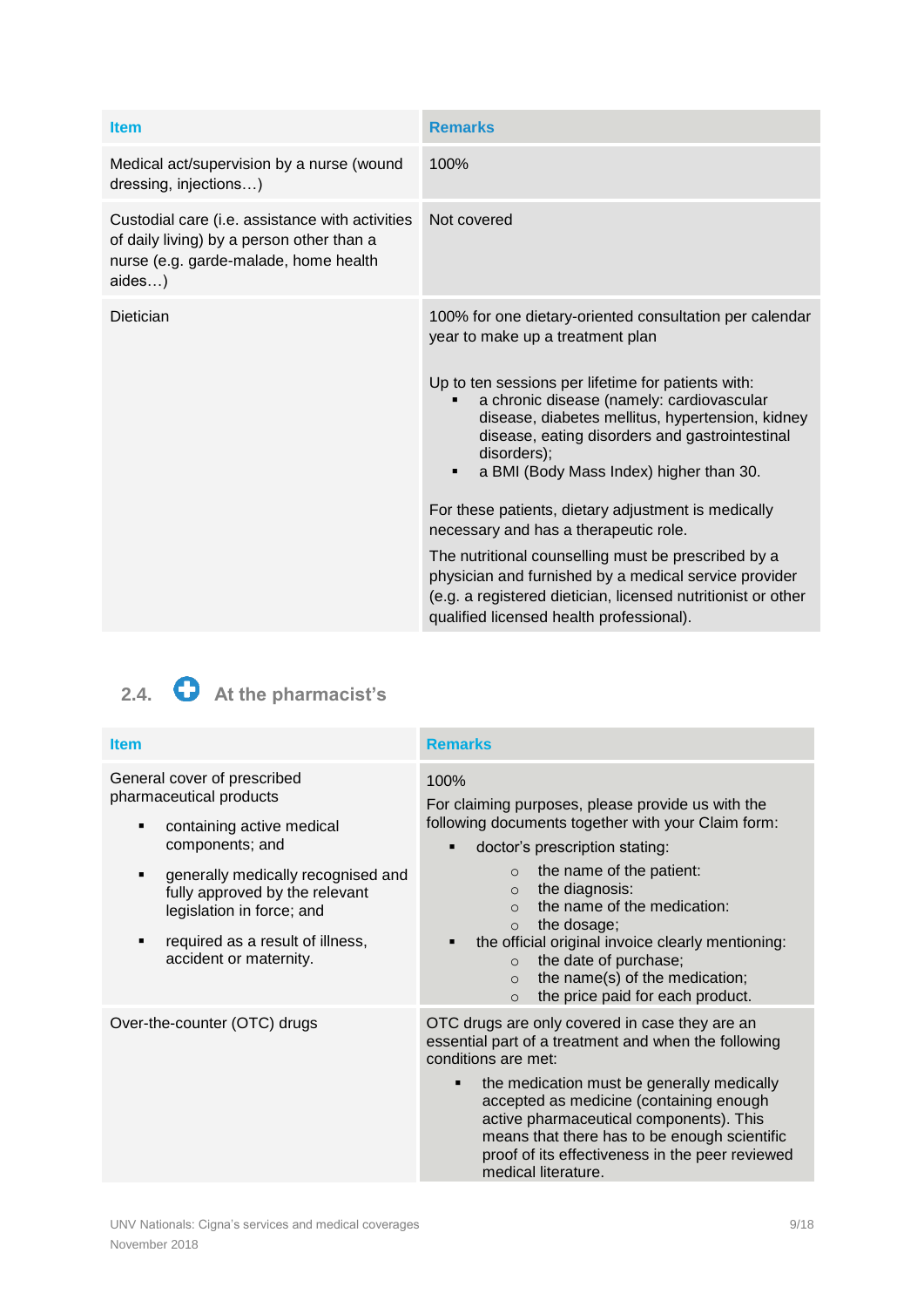| <b>Item</b>                                                                                                                                     | <b>Remarks</b>                                                                                                                                                                                                                                                                                                                                                                                                                                                                                                                                                                                                                                                                                               |
|-------------------------------------------------------------------------------------------------------------------------------------------------|--------------------------------------------------------------------------------------------------------------------------------------------------------------------------------------------------------------------------------------------------------------------------------------------------------------------------------------------------------------------------------------------------------------------------------------------------------------------------------------------------------------------------------------------------------------------------------------------------------------------------------------------------------------------------------------------------------------|
| Medical act/supervision by a nurse (wound<br>dressing, injections)                                                                              | 100%                                                                                                                                                                                                                                                                                                                                                                                                                                                                                                                                                                                                                                                                                                         |
| Custodial care (i.e. assistance with activities<br>of daily living) by a person other than a<br>nurse (e.g. garde-malade, home health<br>aides) | Not covered                                                                                                                                                                                                                                                                                                                                                                                                                                                                                                                                                                                                                                                                                                  |
| Dietician                                                                                                                                       | 100% for one dietary-oriented consultation per calendar<br>year to make up a treatment plan<br>Up to ten sessions per lifetime for patients with:<br>a chronic disease (namely: cardiovascular<br>disease, diabetes mellitus, hypertension, kidney<br>disease, eating disorders and gastrointestinal<br>disorders);<br>a BMI (Body Mass Index) higher than 30.<br>$\blacksquare$<br>For these patients, dietary adjustment is medically<br>necessary and has a therapeutic role.<br>The nutritional counselling must be prescribed by a<br>physician and furnished by a medical service provider<br>(e.g. a registered dietician, licensed nutritionist or other<br>qualified licensed health professional). |

# <span id="page-8-0"></span>2.4. **C** At the pharmacist's

| <b>Item</b>                                                                                                                                                                                                                                                                              | <b>Remarks</b>                                                                                                                                                                                                                                                                                                                                                                                                                                                                          |
|------------------------------------------------------------------------------------------------------------------------------------------------------------------------------------------------------------------------------------------------------------------------------------------|-----------------------------------------------------------------------------------------------------------------------------------------------------------------------------------------------------------------------------------------------------------------------------------------------------------------------------------------------------------------------------------------------------------------------------------------------------------------------------------------|
| General cover of prescribed<br>pharmaceutical products<br>containing active medical<br>٠<br>components; and<br>generally medically recognised and<br>٠<br>fully approved by the relevant<br>legislation in force; and<br>required as a result of illness,<br>٠<br>accident or maternity. | 100%<br>For claiming purposes, please provide us with the<br>following documents together with your Claim form:<br>doctor's prescription stating:<br>п<br>the name of the patient:<br>$\circ$<br>the diagnosis:<br>$\circ$<br>the name of the medication:<br>$\Omega$<br>the dosage;<br>$\Omega$<br>the official original invoice clearly mentioning:<br>the date of purchase;<br>$\circ$<br>the name(s) of the medication;<br>$\Omega$<br>the price paid for each product.<br>$\Omega$ |
| Over-the-counter (OTC) drugs                                                                                                                                                                                                                                                             | OTC drugs are only covered in case they are an<br>essential part of a treatment and when the following<br>conditions are met:<br>the medication must be generally medically<br>$\blacksquare$<br>accepted as medicine (containing enough<br>active pharmaceutical components). This<br>means that there has to be enough scientific<br>proof of its effectiveness in the peer reviewed<br>medical literature.                                                                           |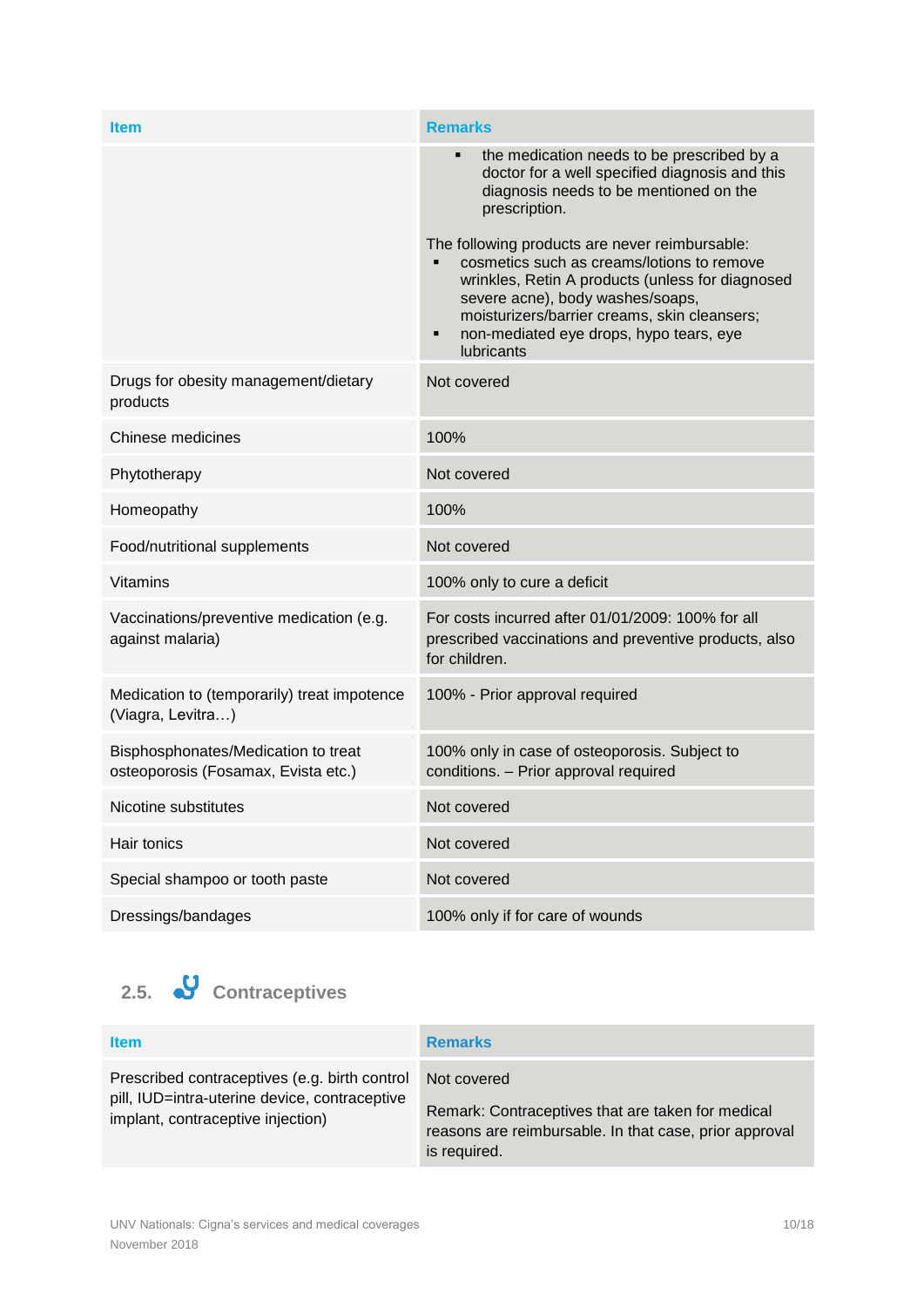| <b>Item</b>                                                                | <b>Remarks</b>                                                                                                                                                                                                                                                                                     |
|----------------------------------------------------------------------------|----------------------------------------------------------------------------------------------------------------------------------------------------------------------------------------------------------------------------------------------------------------------------------------------------|
|                                                                            | the medication needs to be prescribed by a<br>٠<br>doctor for a well specified diagnosis and this<br>diagnosis needs to be mentioned on the<br>prescription.                                                                                                                                       |
|                                                                            | The following products are never reimbursable:<br>cosmetics such as creams/lotions to remove<br>wrinkles, Retin A products (unless for diagnosed<br>severe acne), body washes/soaps,<br>moisturizers/barrier creams, skin cleansers;<br>non-mediated eye drops, hypo tears, eye<br>Ξ<br>lubricants |
| Drugs for obesity management/dietary<br>products                           | Not covered                                                                                                                                                                                                                                                                                        |
| Chinese medicines                                                          | 100%                                                                                                                                                                                                                                                                                               |
| Phytotherapy                                                               | Not covered                                                                                                                                                                                                                                                                                        |
| Homeopathy                                                                 | 100%                                                                                                                                                                                                                                                                                               |
| Food/nutritional supplements                                               | Not covered                                                                                                                                                                                                                                                                                        |
| <b>Vitamins</b>                                                            | 100% only to cure a deficit                                                                                                                                                                                                                                                                        |
| Vaccinations/preventive medication (e.g.<br>against malaria)               | For costs incurred after 01/01/2009: 100% for all<br>prescribed vaccinations and preventive products, also<br>for children.                                                                                                                                                                        |
| Medication to (temporarily) treat impotence<br>(Viagra, Levitra)           | 100% - Prior approval required                                                                                                                                                                                                                                                                     |
| Bisphosphonates/Medication to treat<br>osteoporosis (Fosamax, Evista etc.) | 100% only in case of osteoporosis. Subject to<br>conditions. - Prior approval required                                                                                                                                                                                                             |
| Nicotine substitutes                                                       | Not covered                                                                                                                                                                                                                                                                                        |
| Hair tonics                                                                | Not covered                                                                                                                                                                                                                                                                                        |
| Special shampoo or tooth paste                                             | Not covered                                                                                                                                                                                                                                                                                        |
| Dressings/bandages                                                         | 100% only if for care of wounds                                                                                                                                                                                                                                                                    |

<span id="page-9-0"></span>**2.5. Contraceptives**

| <b>Item</b>                                                                                                                         | <b>Remarks</b>                                                                                                                             |
|-------------------------------------------------------------------------------------------------------------------------------------|--------------------------------------------------------------------------------------------------------------------------------------------|
| Prescribed contraceptives (e.g. birth control<br>pill, IUD=intra-uterine device, contraceptive<br>implant, contraceptive injection) | Not covered<br>Remark: Contraceptives that are taken for medical<br>reasons are reimbursable. In that case, prior approval<br>is required. |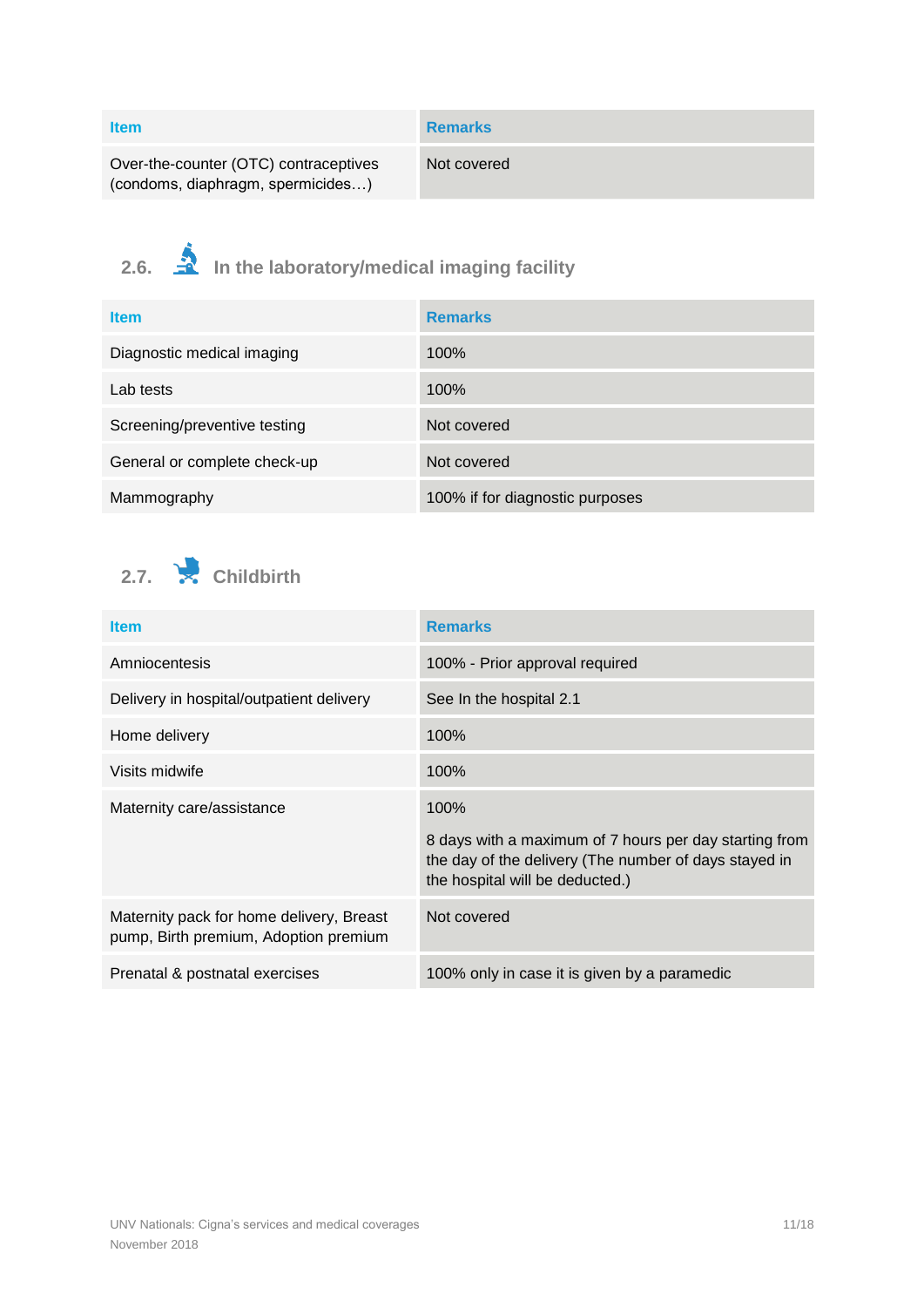| ltem                                  | Remarks     |
|---------------------------------------|-------------|
| Over-the-counter (OTC) contraceptives | Not covered |

(condoms, diaphragm, spermicides…)

<span id="page-10-0"></span>**2.6. In the laboratory/medical imaging facility**

| <b>Item</b>                  | <b>Remarks</b>                  |
|------------------------------|---------------------------------|
| Diagnostic medical imaging   | 100%                            |
| Lab tests                    | 100%                            |
| Screening/preventive testing | Not covered                     |
| General or complete check-up | Not covered                     |
| Mammography                  | 100% if for diagnostic purposes |

<span id="page-10-1"></span>

| <b>Item</b>                                                                       | <b>Remarks</b>                                                                                                                                             |
|-----------------------------------------------------------------------------------|------------------------------------------------------------------------------------------------------------------------------------------------------------|
| Amniocentesis                                                                     | 100% - Prior approval required                                                                                                                             |
| Delivery in hospital/outpatient delivery                                          | See In the hospital 2.1                                                                                                                                    |
| Home delivery                                                                     | 100%                                                                                                                                                       |
| Visits midwife                                                                    | 100%                                                                                                                                                       |
| Maternity care/assistance                                                         | 100%<br>8 days with a maximum of 7 hours per day starting from<br>the day of the delivery (The number of days stayed in<br>the hospital will be deducted.) |
| Maternity pack for home delivery, Breast<br>pump, Birth premium, Adoption premium | Not covered                                                                                                                                                |
| Prenatal & postnatal exercises                                                    | 100% only in case it is given by a paramedic                                                                                                               |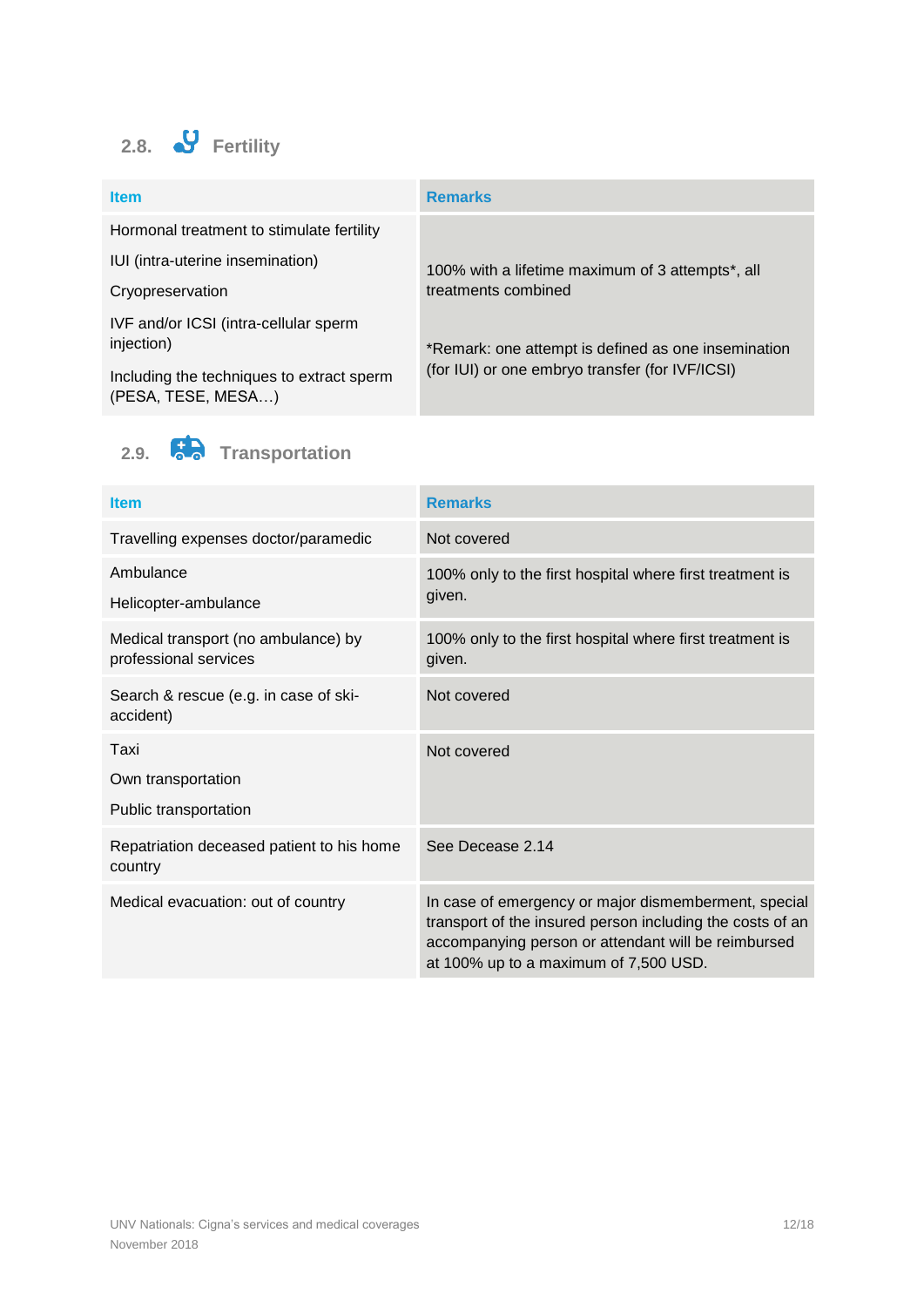<span id="page-11-0"></span>

| <b>Item</b>                                                     | <b>Remarks</b>                                                |
|-----------------------------------------------------------------|---------------------------------------------------------------|
| Hormonal treatment to stimulate fertility                       |                                                               |
| IUI (intra-uterine insemination)                                | 100% with a lifetime maximum of 3 attempts <sup>*</sup> , all |
| Cryopreservation                                                | treatments combined                                           |
| IVF and/or ICSI (intra-cellular sperm                           |                                                               |
| injection)                                                      | *Remark: one attempt is defined as one insemination           |
| Including the techniques to extract sperm<br>(PESA, TESE, MESA) | (for IUI) or one embryo transfer (for IVF/ICSI)               |



<span id="page-11-1"></span>**2.9. Transportation**

| <b>Item</b>                                                  | <b>Remarks</b>                                                                                                                                                                                                    |
|--------------------------------------------------------------|-------------------------------------------------------------------------------------------------------------------------------------------------------------------------------------------------------------------|
| Travelling expenses doctor/paramedic                         | Not covered                                                                                                                                                                                                       |
| Ambulance<br>Helicopter-ambulance                            | 100% only to the first hospital where first treatment is<br>given.                                                                                                                                                |
| Medical transport (no ambulance) by<br>professional services | 100% only to the first hospital where first treatment is<br>given.                                                                                                                                                |
| Search & rescue (e.g. in case of ski-<br>accident)           | Not covered                                                                                                                                                                                                       |
| Taxi                                                         | Not covered                                                                                                                                                                                                       |
| Own transportation                                           |                                                                                                                                                                                                                   |
| Public transportation                                        |                                                                                                                                                                                                                   |
| Repatriation deceased patient to his home<br>country         | See Decease 2.14                                                                                                                                                                                                  |
| Medical evacuation: out of country                           | In case of emergency or major dismemberment, special<br>transport of the insured person including the costs of an<br>accompanying person or attendant will be reimbursed<br>at 100% up to a maximum of 7,500 USD. |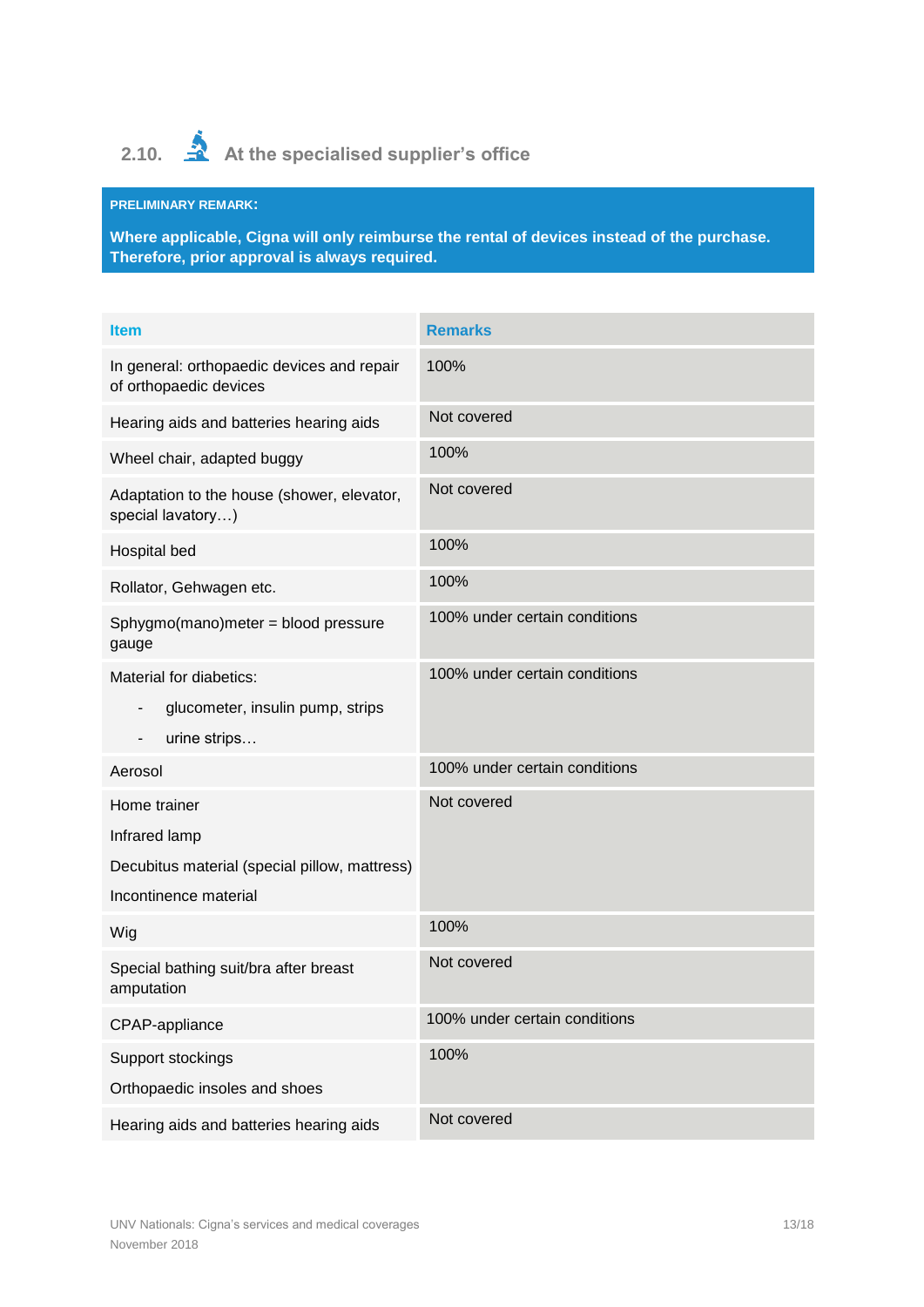# <span id="page-12-0"></span>2.10.  $\triangleq$  At the specialised supplier's office

## **PRELIMINARY REMARK:**

**Where applicable, Cigna will only reimburse the rental of devices instead of the purchase. Therefore, prior approval is always required.**

| <b>Item</b>                                                                                                                             | <b>Remarks</b>                |
|-----------------------------------------------------------------------------------------------------------------------------------------|-------------------------------|
| In general: orthopaedic devices and repair<br>of orthopaedic devices                                                                    | 100%                          |
| Hearing aids and batteries hearing aids                                                                                                 | Not covered                   |
| Wheel chair, adapted buggy                                                                                                              | 100%                          |
| Adaptation to the house (shower, elevator,<br>special lavatory)                                                                         | Not covered                   |
| Hospital bed                                                                                                                            | 100%                          |
| Rollator, Gehwagen etc.                                                                                                                 | 100%                          |
| Sphygmo(mano)meter = blood pressure<br>gauge                                                                                            | 100% under certain conditions |
| Material for diabetics:<br>glucometer, insulin pump, strips<br>$\overline{\phantom{a}}$<br>urine strips<br>$\qquad \qquad \blacksquare$ | 100% under certain conditions |
| Aerosol                                                                                                                                 | 100% under certain conditions |
| Home trainer<br>Infrared lamp<br>Decubitus material (special pillow, mattress)<br>Incontinence material                                 | Not covered                   |
| Wig                                                                                                                                     | 100%                          |
| Special bathing suit/bra after breast<br>amputation                                                                                     | Not covered                   |
| CPAP-appliance                                                                                                                          | 100% under certain conditions |
| Support stockings<br>Orthopaedic insoles and shoes                                                                                      | 100%                          |
| Hearing aids and batteries hearing aids                                                                                                 | Not covered                   |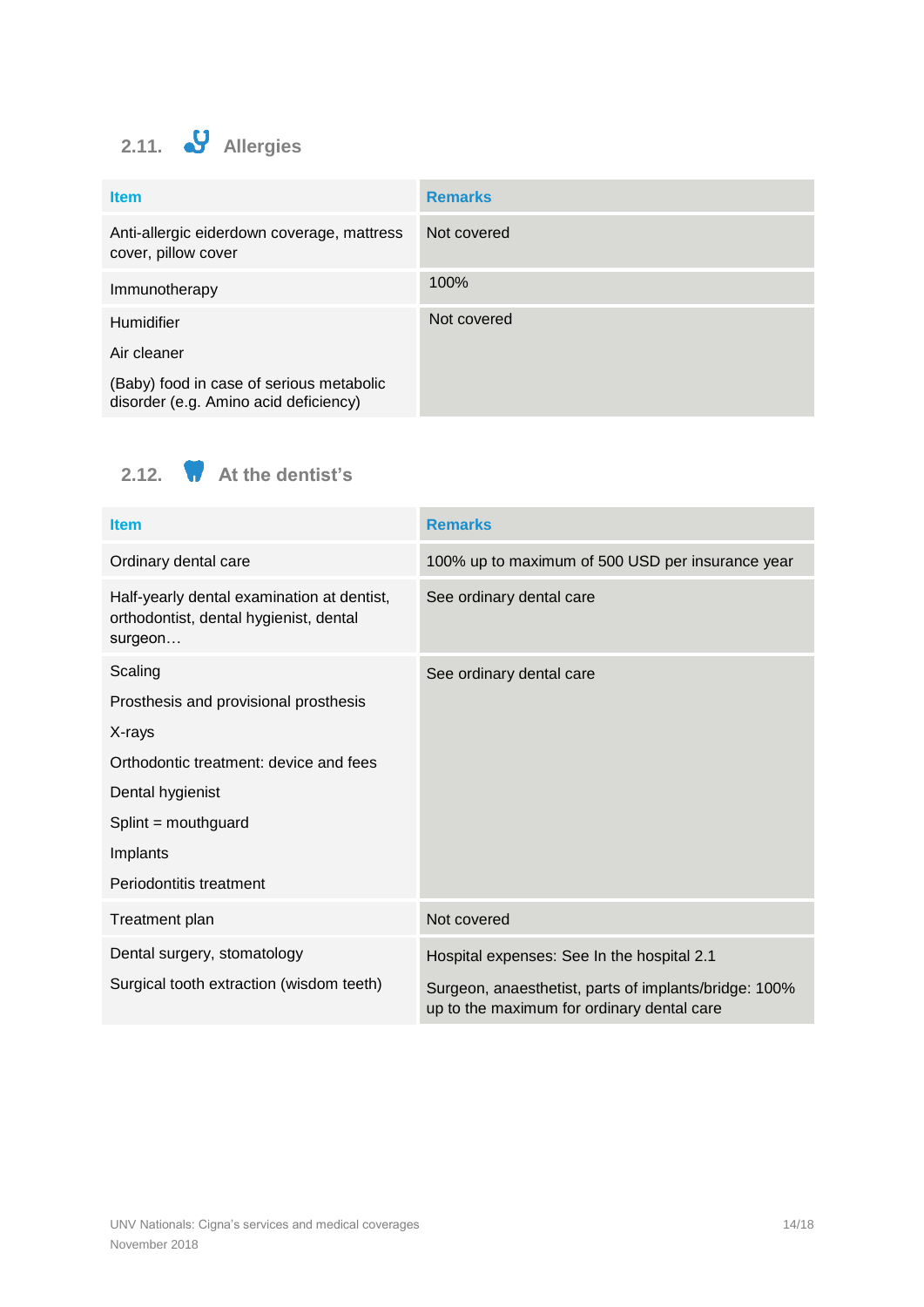# <span id="page-13-0"></span>**2.11. Allergies**

| <b>Item</b>                                                                       | <b>Remarks</b> |
|-----------------------------------------------------------------------------------|----------------|
| Anti-allergic eiderdown coverage, mattress<br>cover, pillow cover                 | Not covered    |
| Immunotherapy                                                                     | 100%           |
| Humidifier                                                                        | Not covered    |
| Air cleaner                                                                       |                |
| (Baby) food in case of serious metabolic<br>disorder (e.g. Amino acid deficiency) |                |

<span id="page-13-1"></span>**2.12. At the dentist's**

| <b>Item</b>                                                                                     | <b>Remarks</b>                                                                                      |
|-------------------------------------------------------------------------------------------------|-----------------------------------------------------------------------------------------------------|
| Ordinary dental care                                                                            | 100% up to maximum of 500 USD per insurance year                                                    |
| Half-yearly dental examination at dentist,<br>orthodontist, dental hygienist, dental<br>surgeon | See ordinary dental care                                                                            |
| Scaling                                                                                         | See ordinary dental care                                                                            |
| Prosthesis and provisional prosthesis                                                           |                                                                                                     |
| X-rays                                                                                          |                                                                                                     |
| Orthodontic treatment: device and fees                                                          |                                                                                                     |
| Dental hygienist                                                                                |                                                                                                     |
| Splint = mouthguard                                                                             |                                                                                                     |
| Implants                                                                                        |                                                                                                     |
| Periodontitis treatment                                                                         |                                                                                                     |
| Treatment plan                                                                                  | Not covered                                                                                         |
| Dental surgery, stomatology                                                                     | Hospital expenses: See In the hospital 2.1                                                          |
| Surgical tooth extraction (wisdom teeth)                                                        | Surgeon, anaesthetist, parts of implants/bridge: 100%<br>up to the maximum for ordinary dental care |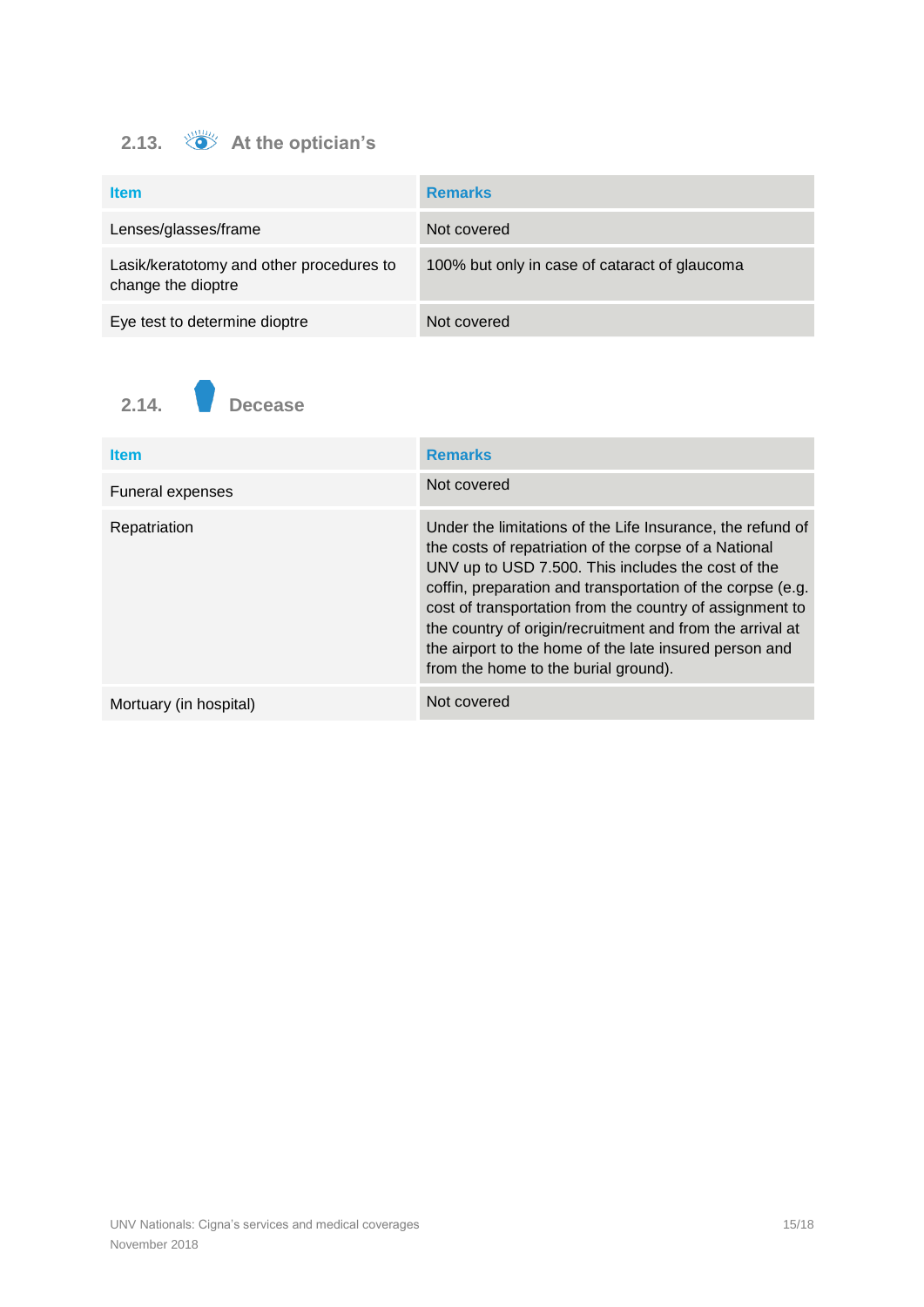# <span id="page-14-0"></span>**2.13. At the optician's**

| <b>Item</b>                                                    | <b>Remarks</b>                                |
|----------------------------------------------------------------|-----------------------------------------------|
| Lenses/glasses/frame                                           | Not covered                                   |
| Lasik/keratotomy and other procedures to<br>change the dioptre | 100% but only in case of cataract of glaucoma |
| Eye test to determine dioptre                                  | Not covered                                   |

<span id="page-14-1"></span>

| <b>Item</b>            | <b>Remarks</b>                                                                                                                                                                                                                                                                                                                                                                                                                                                     |
|------------------------|--------------------------------------------------------------------------------------------------------------------------------------------------------------------------------------------------------------------------------------------------------------------------------------------------------------------------------------------------------------------------------------------------------------------------------------------------------------------|
| Funeral expenses       | Not covered                                                                                                                                                                                                                                                                                                                                                                                                                                                        |
| Repatriation           | Under the limitations of the Life Insurance, the refund of<br>the costs of repatriation of the corpse of a National<br>UNV up to USD 7.500. This includes the cost of the<br>coffin, preparation and transportation of the corpse (e.g.<br>cost of transportation from the country of assignment to<br>the country of origin/recruitment and from the arrival at<br>the airport to the home of the late insured person and<br>from the home to the burial ground). |
| Mortuary (in hospital) | Not covered                                                                                                                                                                                                                                                                                                                                                                                                                                                        |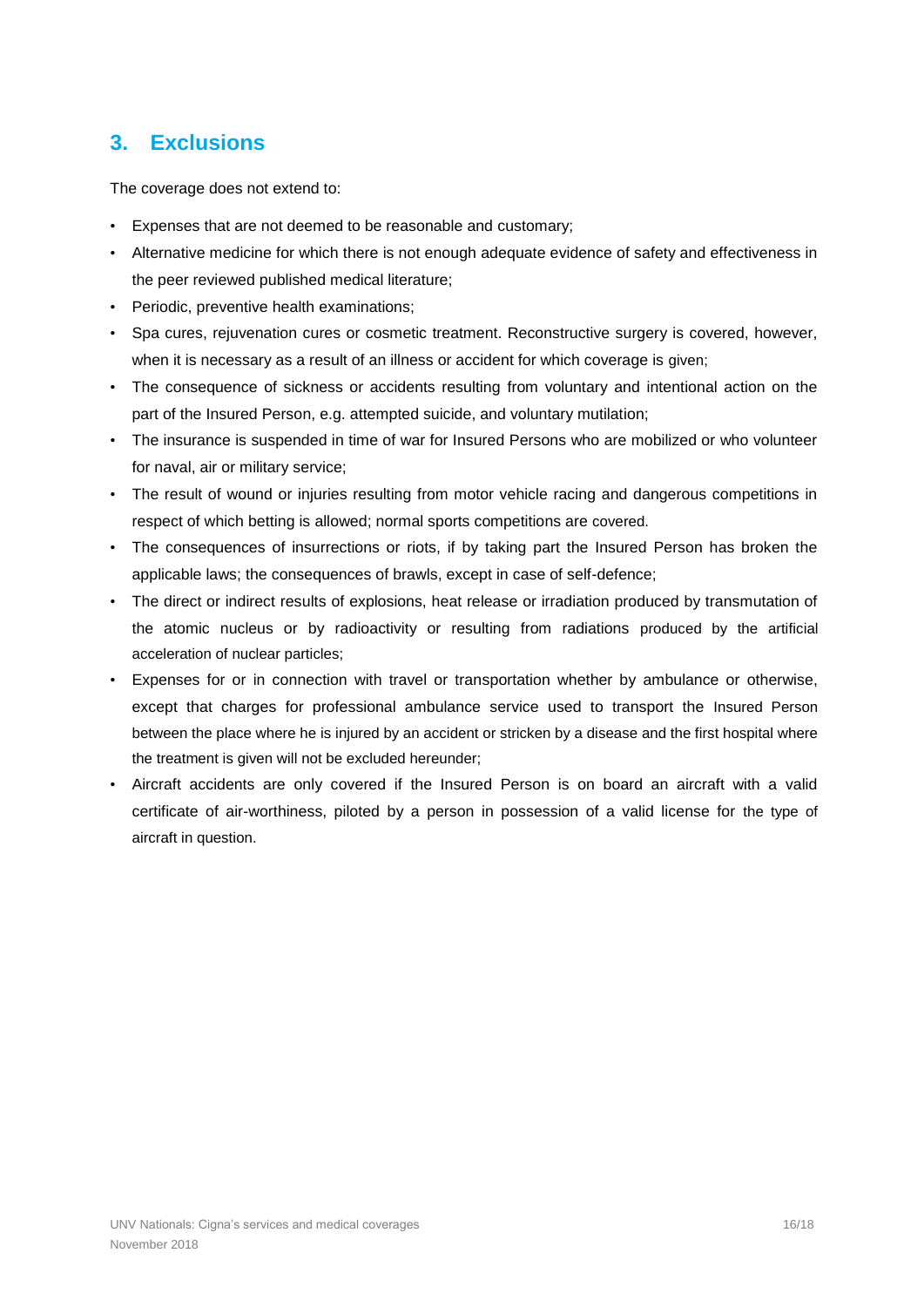## <span id="page-15-0"></span>**3. Exclusions**

The coverage does not extend to:

- Expenses that are not deemed to be reasonable and customary;
- Alternative medicine for which there is not enough adequate evidence of safety and effectiveness in the peer reviewed published medical literature;
- Periodic, preventive health examinations;
- Spa cures, rejuvenation cures or cosmetic treatment. Reconstructive surgery is covered, however, when it is necessary as a result of an illness or accident for which coverage is given;
- The consequence of sickness or accidents resulting from voluntary and intentional action on the part of the Insured Person, e.g. attempted suicide, and voluntary mutilation;
- The insurance is suspended in time of war for Insured Persons who are mobilized or who volunteer for naval, air or military service;
- The result of wound or injuries resulting from motor vehicle racing and dangerous competitions in respect of which betting is allowed; normal sports competitions are covered.
- The consequences of insurrections or riots, if by taking part the Insured Person has broken the applicable laws; the consequences of brawls, except in case of self-defence;
- The direct or indirect results of explosions, heat release or irradiation produced by transmutation of the atomic nucleus or by radioactivity or resulting from radiations produced by the artificial acceleration of nuclear particles;
- Expenses for or in connection with travel or transportation whether by ambulance or otherwise, except that charges for professional ambulance service used to transport the Insured Person between the place where he is injured by an accident or stricken by a disease and the first hospital where the treatment is given will not be excluded hereunder;
- Aircraft accidents are only covered if the Insured Person is on board an aircraft with a valid certificate of air-worthiness, piloted by a person in possession of a valid license for the type of aircraft in question.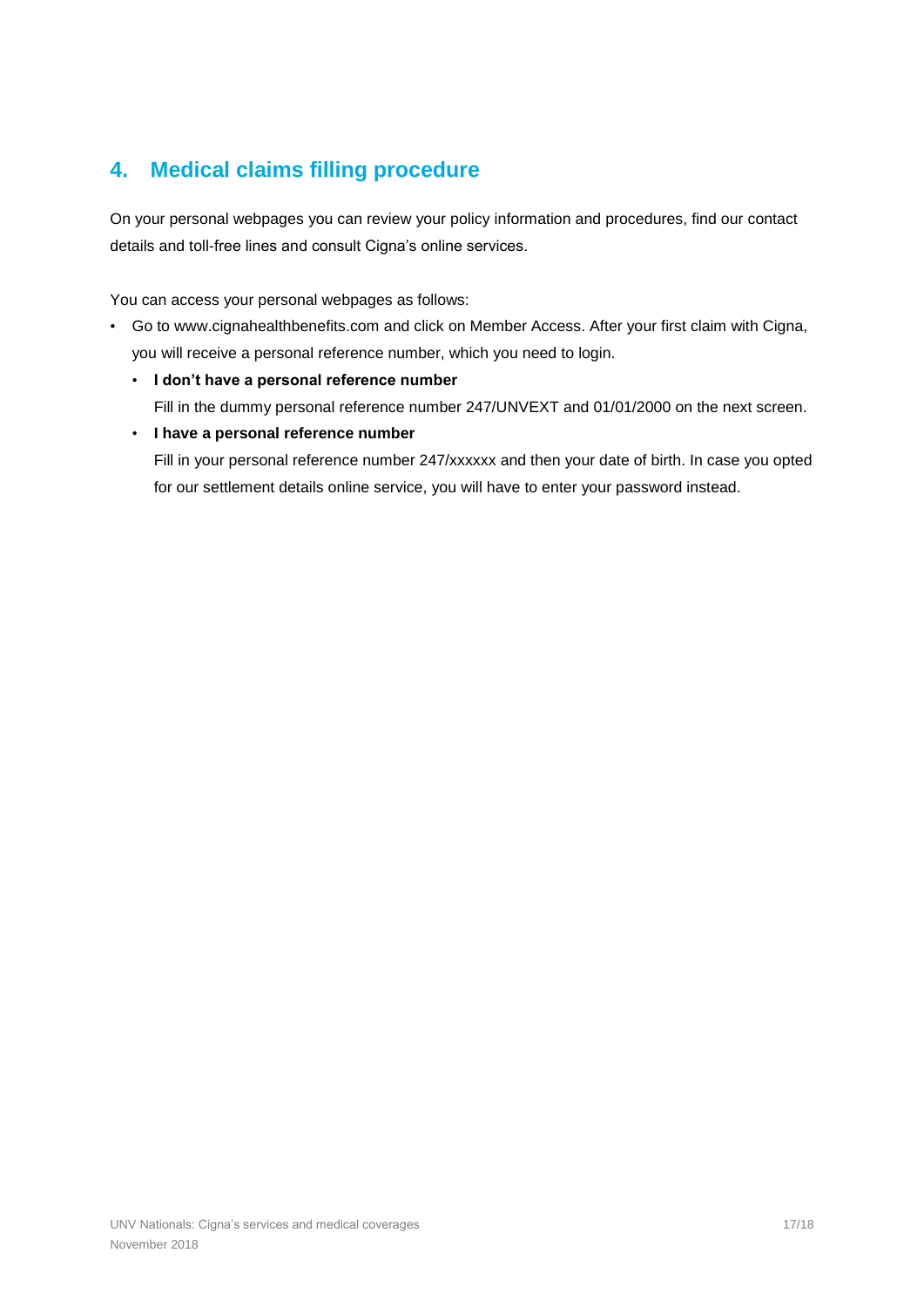# <span id="page-16-0"></span>**4. Medical claims filling procedure**

On your personal webpages you can review your policy information and procedures, find our contact details and toll-free lines and consult Cigna's online services.

You can access your personal webpages as follows:

- Go to [www.cignahealthbenefits.com](http://www.cignahealthbenefits.com/) and click on Member Access. After your first claim with Cigna, you will receive a personal reference number, which you need to login.
	- **I don't have a personal reference number**  Fill in the dummy personal reference number 247/UNVEXT and 01/01/2000 on the next screen.
	- **I have a personal reference number**

Fill in your personal reference number 247/xxxxxx and then your date of birth. In case you opted for our settlement details online service, you will have to enter your password instead.